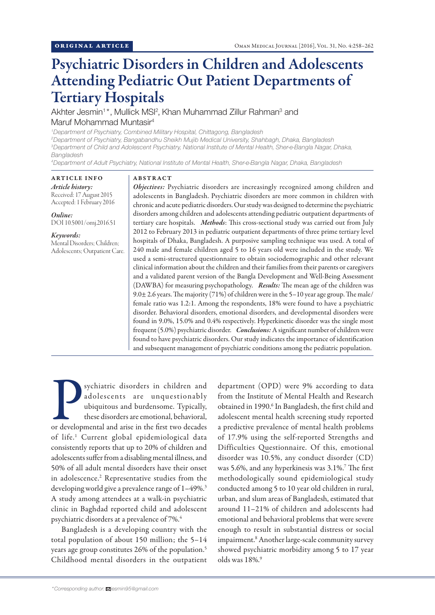# Psychiatric Disorders in Children and Adolescents Attending Pediatric Out Patient Departments of Tertiary Hospitals

Akhter Jesmin<sup>1\*</sup>, Mullick MSI<sup>2</sup>, Khan Muhammad Zillur Rahman<sup>3</sup> and Maruf Mohammad Muntasir4

*1 Department of Psychiatry, Combined Military Hospital, Chittagong, Bangladesh*

*2 Department of Psychiatry, Bangabandhu Sheikh Mujib Medical University, Shahbagh, Dhaka, Bangladesh 3 Department of Child and Adolescent Psychiatry, National Institute of Mental Health, Sher-e-Bangla Nagar, Dhaka, Bangladesh*

*4 Department of Adult Psychiatry, National Institute of Mental Health, Sher-e-Bangla Nagar, Dhaka, Bangladesh*

# ARTICLE INFO

## ABSTRACT

*Article history:* Received: 17 August 2015 Accepted: 1 February 2016

*Online:* DOI 10.5001/omj.2016.51

## *Keywords:*

Mental Disorders; Children; Adolescents; Outpatient Care.

*Objectives:* Psychiatric disorders are increasingly recognized among children and adolescents in Bangladesh. Psychiatric disorders are more common in children with chronic and acute pediatric disorders. Our study was designed to determine the psychiatric disorders among children and adolescents attending pediatric outpatient departments of tertiary care hospitals. *Methods*: This cross-sectional study was carried out from July 2012 to February 2013 in pediatric outpatient departments of three prime tertiary level hospitals of Dhaka, Bangladesh. A purposive sampling technique was used. A total of 240 male and female children aged 5 to 16 years old were included in the study. We used a semi-structured questionnaire to obtain sociodemographic and other relevant clinical information about the children and their families from their parents or caregivers and a validated parent version of the Bangla Development and Well-Being Assessment (DAWBA) for measuring psychopathology. *Results:* The mean age of the children was 9.0± 2.6 years. The majority (71%) of children were in the 5–10 year age group. The male/ female ratio was 1.2:1. Among the respondents, 18% were found to have a psychiatric disorder. Behavioral disorders, emotional disorders, and developmental disorders were found in 9.0%, 15.0% and 0.4% respectively. Hyperkinetic disorder was the single most frequent (5.0%) psychiatric disorder. *Conclusions:* A significant number of children were found to have psychiatric disorders. Our study indicates the importance of identification and subsequent management of psychiatric conditions among the pediatric population.

Sychiatric disorders in children and adolescents are unquestionably ubiquitous and burdensome. Typically, these disorders are emotional, behavioral, or developmental and arise in the first two decades adolescents are unquestionably ubiquitous and burdensome. Typically, these disorders are emotional, behavioral, of life.<sup>1</sup> Current global epidemiological data consistently reports that up to 20% of children and adolescents suffer from a disabling mental illness, and 50% of all adult mental disorders have their onset in adolescence.2 Representative studies from the developing world give a prevalence range of  $1-49\%$ .<sup>3</sup> A study among attendees at a walk-in psychiatric clinic in Baghdad reported child and adolescent psychiatric disorders at a prevalence of 7%.4

Bangladesh is a developing country with the total population of about 150 million; the 5–14 years age group constitutes 26% of the population.<sup>5</sup> Childhood mental disorders in the outpatient department (OPD) were 9% according to data from the Institute of Mental Health and Research obtained in 1990.<sup>6</sup> In Bangladesh, the first child and adolescent mental health screening study reported a predictive prevalence of mental health problems of 17.9% using the self-reported Strengths and Difficulties Questionnaire. Of this, emotional disorder was 10.5%, any conduct disorder (CD) was 5.6%, and any hyperkinesis was 3.1%.<sup>7</sup> The first methodologically sound epidemiological study conducted among 5 to 10 year old children in rural, urban, and slum areas of Bangladesh, estimated that around 11–21% of children and adolescents had emotional and behavioral problems that were severe enough to result in substantial distress or social impairment.<sup>8</sup> Another large-scale community survey showed psychiatric morbidity among 5 to 17 year olds was 18%.9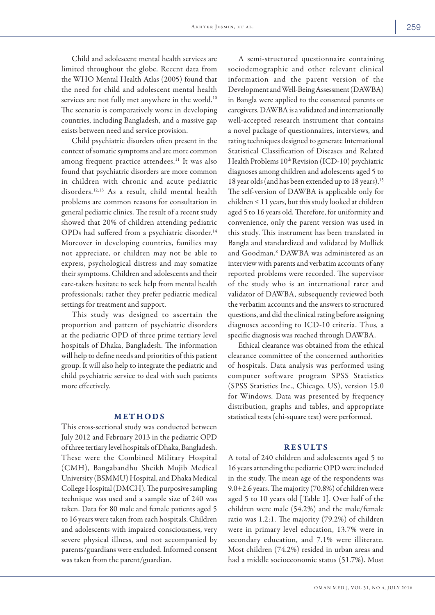Child and adolescent mental health services are limited throughout the globe. Recent data from the WHO Mental Health Atlas (2005) found that the need for child and adolescent mental health services are not fully met anywhere in the world.<sup>10</sup> The scenario is comparatively worse in developing countries, including Bangladesh, and a massive gap exists between need and service provision.

Child psychiatric disorders often present in the context of somatic symptoms and are more common among frequent practice attendees.<sup>11</sup> It was also found that psychiatric disorders are more common in children with chronic and acute pediatric disorders.12,13 As a result, child mental health problems are common reasons for consultation in general pediatric clinics. The result of a recent study showed that 20% of children attending pediatric OPDs had suffered from a psychiatric disorder.<sup>14</sup> Moreover in developing countries, families may not appreciate, or children may not be able to express, psychological distress and may somatize their symptoms. Children and adolescents and their care-takers hesitate to seek help from mental health professionals; rather they prefer pediatric medical settings for treatment and support.

This study was designed to ascertain the proportion and pattern of psychiatric disorders at the pediatric OPD of three prime tertiary level hospitals of Dhaka, Bangladesh. The information will help to define needs and priorities of this patient group. It will also help to integrate the pediatric and child psychiatric service to deal with such patients more effectively.

#### METHODS

This cross-sectional study was conducted between July 2012 and February 2013 in the pediatric OPD of three tertiary level hospitals of Dhaka, Bangladesh. These were the Combined Military Hospital (CMH), Bangabandhu Sheikh Mujib Medical University (BSMMU) Hospital, and Dhaka Medical College Hospital (DMCH). The purposive sampling technique was used and a sample size of 240 was taken. Data for 80 male and female patients aged 5 to 16 years were taken from each hospitals. Children and adolescents with impaired consciousness, very severe physical illness, and not accompanied by parents/guardians were excluded. Informed consent was taken from the parent/guardian.

A semi-structured questionnaire containing sociodemographic and other relevant clinical information and the parent version of the Development and Well-Being Assessment (DAWBA) in Bangla were applied to the consented parents or caregivers. DAWBA is a validated and internationally well-accepted research instrument that contains a novel package of questionnaires, interviews, and rating techniques designed to generate International Statistical Classification of Diseases and Related Health Problems 10<sup>th</sup> Revision (ICD-10) psychiatric diagnoses among children and adolescents aged 5 to 18 year olds (and has been extended up to 18 years).15 The self-version of DAWBA is applicable only for children ≤ 11 years, but this study looked at children aged 5 to 16 years old. Therefore, for uniformity and convenience, only the parent version was used in this study. This instrument has been translated in Bangla and standardized and validated by Mullick and Goodman.8 DAWBA was administered as an interview with parents and verbatim accounts of any reported problems were recorded. The supervisor of the study who is an international rater and validator of DAWBA, subsequently reviewed both the verbatim accounts and the answers to structured questions, and did the clinical rating before assigning diagnoses according to ICD-10 criteria. Thus, a specific diagnosis was reached through DAWBA.

Ethical clearance was obtained from the ethical clearance committee of the concerned authorities of hospitals. Data analysis was performed using computer software program SPSS Statistics (SPSS Statistics Inc., Chicago, US), version 15.0 for Windows. Data was presented by frequency distribution, graphs and tables, and appropriate statistical tests (chi-square test) were performed.

#### RESULTS

A total of 240 children and adolescents aged 5 to 16 years attending the pediatric OPD were included in the study. The mean age of the respondents was 9.0 $\pm$ 2.6 years. The majority (70.8%) of children were aged 5 to 10 years old [Table 1]. Over half of the children were male (54.2%) and the male/female ratio was 1.2:1. The majority (79.2%) of children were in primary level education, 13.7% were in secondary education, and 7.1% were illiterate. Most children (74.2%) resided in urban areas and had a middle socioeconomic status (51.7%). Most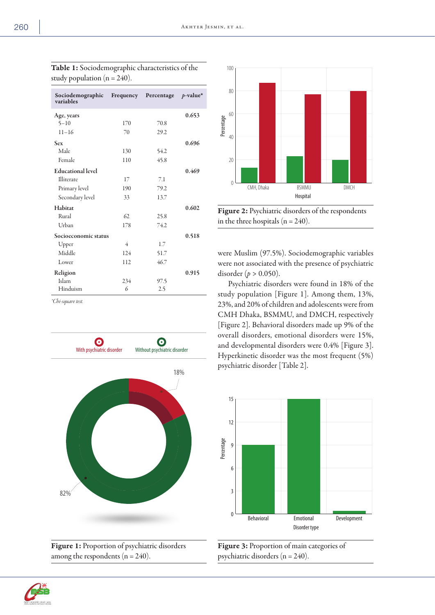| Sociodemographic<br>variables | Frequency | Percentage | $p$ -value* |
|-------------------------------|-----------|------------|-------------|
| Age, years                    |           |            | 0.653       |
| $5 - 10$                      | 170       | 70.8       |             |
| $11 - 16$                     | 70        | 29.2       |             |
| <b>Sex</b>                    |           |            | 0.696       |
| Male                          | 130       | 54.2       |             |
| Female                        | 110       | 45.8       |             |
| <b>Educational level</b>      |           |            | 0.469       |
| Illiterate                    | 17        | 7.1        |             |
| Primary level                 | 190       | 79.2       |             |
| Secondary level               | 33        | 13.7       |             |
| Habitat                       |           |            | 0.602       |
| Rural                         | 62        | 25.8       |             |
| Urban                         | 178       | 74.2       |             |
| Socioeconomic status          |           |            | 0.518       |
| Upper                         | 4         | 1.7        |             |
| Middle                        | 124       | 51.7       |             |
| Lower                         | 112       | 46.7       |             |
| Religion                      |           |            | 0.915       |
| Islam                         | 234       | 97.5       |             |
| Hinduism                      | 6         | 2.5        |             |

Table 1: Sociodemographic characteristics of the study population ( $n = 240$ ).

*\*Chi-square test.*



Figure 1: Proportion of psychiatric disorders among the respondents  $(n = 240)$ .



Figure 2: Psychiatric disorders of the respondents in the three hospitals ( $n = 240$ ).

were Muslim (97.5%). Sociodemographic variables were not associated with the presence of psychiatric disorder (*p* > 0.050).

Psychiatric disorders were found in 18% of the study population [Figure 1]. Among them, 13%, 23%, and 20% of children and adolescents were from CMH Dhaka, BSMMU, and DMCH, respectively [Figure 2]. Behavioral disorders made up 9% of the overall disorders, emotional disorders were 15%, and developmental disorders were 0.4% [Figure 3]. Hyperkinetic disorder was the most frequent (5%) psychiatric disorder [Table 2].





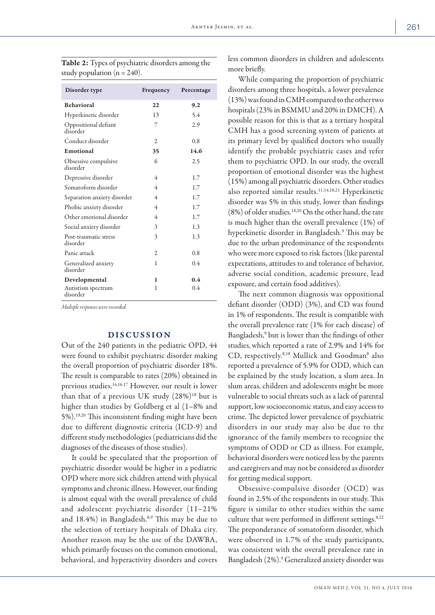| Disorder type                     | Frequency      | Percentage |
|-----------------------------------|----------------|------------|
| <b>Behavioral</b>                 | 22             | 9.2        |
| Hyperkinetic disorder             | 13             | 5.4        |
| Oppositional defiant<br>disorder  | 7              | 2.9        |
| Conduct disorder                  | $\overline{2}$ | 0.8        |
| Emotional                         | 35             | 14.6       |
| Obsessive compulsive<br>disorder  | 6              | 2.5        |
| Depressive disorder               | 4              | 1.7        |
| Somatoform disorder               | 4              | 1.7        |
| Separation anxiety disorder       | 4              | 1.7        |
| Phobic anxiety disorder           | 4              | 1.7        |
| Other emotional disorder          | 4              | 1.7        |
| Social anxiety disorder           | 3              | 1.3        |
| Post-traumatic stress<br>disorder | 3              | 1.3        |
| Panic attack                      | $\overline{c}$ | 0.8        |
| Generalized anxiety<br>disorder   | 1              | 0.4        |
| Developmental                     | 1              | 0.4        |
| Autistism spectrum<br>disorder    | 1              | 0.4        |

Table 2: Types of psychiatric disorders among the study population ( $n = 240$ ).

*Multiple responses were recorded.*

### DISCUSSION

Out of the 240 patients in the pediatric OPD, 44 were found to exhibit psychiatric disorder making the overall proportion of psychiatric disorder 18%. The result is comparable to rates (20%) obtained in previous studies.14,16,17 However, our result is lower than that of a previous UK study  $(28\%)^{18}$  but is higher than studies by Goldberg et al (1–8% and 5%).19,20 This inconsistent finding might have been due to different diagnostic criteria (ICD-9) and different study methodologies (pediatricians did the diagnoses of the diseases of those studies).

It could be speculated that the proportion of psychiatric disorder would be higher in a pediatric OPD where more sick children attend with physical symptoms and chronic illness. However, our finding is almost equal with the overall prevalence of child and adolescent psychiatric disorder (11–21% and 18.4%) in Bangladesh.8,9 This may be due to the selection of tertiary hospitals of Dhaka city. Another reason may be the use of the DAWBA, which primarily focuses on the common emotional, behavioral, and hyperactivity disorders and covers

less common disorders in children and adolescents more briefly.

While comparing the proportion of psychiatric disorders among three hospitals, a lower prevalence (13%) was found in CMH compared to the other two hospitals (23% in BSMMU and 20% in DMCH). A possible reason for this is that as a tertiary hospital CMH has a good screening system of patients at its primary level by qualified doctors who usually identify the probable psychiatric cases and refer them to psychiatric OPD. In our study, the overall proportion of emotional disorder was the highest (15%) among all psychiatric disorders. Other studies also reported similar results.11,14,18,21 Hyperkinetic disorder was 5% in this study, lower than findings  $(8\%)$  of older studies.<sup>18,20</sup> On the other hand, the rate is much higher than the overall prevalence (1%) of hyperkinetic disorder in Bangladesh.9 This may be due to the urban predominance of the respondents who were more exposed to risk factors (like parental expectations, attitudes to and tolerance of behavior, adverse social condition, academic pressure, lead exposure, and certain food additives).

The next common diagnosis was oppositional defiant disorder (ODD) (3%), and CD was found in 1% of respondents. The result is compatible with the overall prevalence rate (1% for each disease) of Bangladesh,<sup>9</sup> but is lower than the findings of other studies,which reported a rate of 2.9% and 14% for CD, respectively.<sup>8,18</sup> Mullick and Goodman<sup>8</sup> also reported a prevalence of 5.9% for ODD, which can be explained by the study location, a slum area. In slum areas, children and adolescents might be more vulnerable to social threats such as a lack of parental support, low socioeconomic status, and easy access to crime. The depicted lower prevalence of psychiatric disorders in our study may also be due to the ignorance of the family members to recognize the symptoms of ODD or CD as illness. For example, behavioral disorders were noticed less by the parents and caregivers and may not be considered as disorder for getting medical support.

Obsessive-compulsive disorder (OCD) was found in 2.5% of the respondents in our study. This figure is similar to other studies within the same culture that were performed in different settings.<sup>8,22</sup> The preponderance of somatoform disorder, which were observed in 1.7% of the study participants, was consistent with the overall prevalence rate in Bangladesh (2%).9 Generalized anxiety disorder was